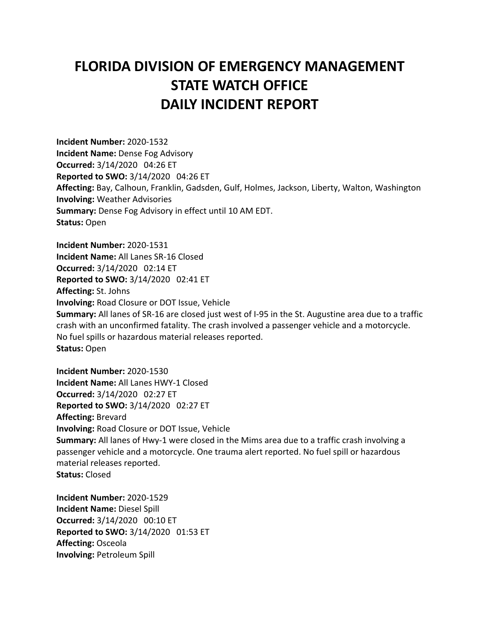## **FLORIDA DIVISION OF EMERGENCY MANAGEMENT STATE WATCH OFFICE DAILY INCIDENT REPORT**

**Incident Number:** 2020-1532 **Incident Name:** Dense Fog Advisory **Occurred:** 3/14/2020 04:26 ET **Reported to SWO:** 3/14/2020 04:26 ET **Affecting:** Bay, Calhoun, Franklin, Gadsden, Gulf, Holmes, Jackson, Liberty, Walton, Washington **Involving:** Weather Advisories **Summary:** Dense Fog Advisory in effect until 10 AM EDT. **Status:** Open

**Incident Number:** 2020-1531 **Incident Name:** All Lanes SR-16 Closed **Occurred:** 3/14/2020 02:14 ET **Reported to SWO:** 3/14/2020 02:41 ET **Affecting:** St. Johns **Involving:** Road Closure or DOT Issue, Vehicle **Summary:** All lanes of SR-16 are closed just west of I-95 in the St. Augustine area due to a traffic crash with an unconfirmed fatality. The crash involved a passenger vehicle and a motorcycle. No fuel spills or hazardous material releases reported. **Status:** Open

**Incident Number:** 2020-1530 **Incident Name:** All Lanes HWY-1 Closed **Occurred:** 3/14/2020 02:27 ET **Reported to SWO:** 3/14/2020 02:27 ET **Affecting:** Brevard **Involving:** Road Closure or DOT Issue, Vehicle **Summary:** All lanes of Hwy-1 were closed in the Mims area due to a traffic crash involving a passenger vehicle and a motorcycle. One trauma alert reported. No fuel spill or hazardous material releases reported. **Status:** Closed

**Incident Number:** 2020-1529 **Incident Name:** Diesel Spill **Occurred:** 3/14/2020 00:10 ET **Reported to SWO:** 3/14/2020 01:53 ET **Affecting:** Osceola **Involving:** Petroleum Spill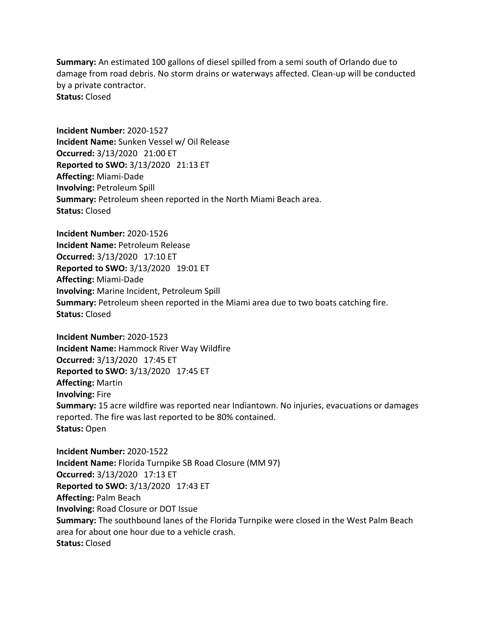**Summary:** An estimated 100 gallons of diesel spilled from a semi south of Orlando due to damage from road debris. No storm drains or waterways affected. Clean-up will be conducted by a private contractor. **Status:** Closed

**Incident Number:** 2020-1527 **Incident Name:** Sunken Vessel w/ Oil Release **Occurred:** 3/13/2020 21:00 ET **Reported to SWO:** 3/13/2020 21:13 ET **Affecting:** Miami-Dade **Involving:** Petroleum Spill **Summary:** Petroleum sheen reported in the North Miami Beach area. **Status:** Closed

**Incident Number:** 2020-1526 **Incident Name:** Petroleum Release **Occurred:** 3/13/2020 17:10 ET **Reported to SWO:** 3/13/2020 19:01 ET **Affecting:** Miami-Dade **Involving:** Marine Incident, Petroleum Spill **Summary:** Petroleum sheen reported in the Miami area due to two boats catching fire. **Status:** Closed

**Incident Number:** 2020-1523 **Incident Name:** Hammock River Way Wildfire **Occurred:** 3/13/2020 17:45 ET **Reported to SWO:** 3/13/2020 17:45 ET **Affecting:** Martin **Involving:** Fire **Summary:** 15 acre wildfire was reported near Indiantown. No injuries, evacuations or damages reported. The fire was last reported to be 80% contained. **Status:** Open

**Incident Number:** 2020-1522 **Incident Name:** Florida Turnpike SB Road Closure (MM 97) **Occurred:** 3/13/2020 17:13 ET **Reported to SWO:** 3/13/2020 17:43 ET **Affecting:** Palm Beach **Involving:** Road Closure or DOT Issue **Summary:** The southbound lanes of the Florida Turnpike were closed in the West Palm Beach area for about one hour due to a vehicle crash. **Status:** Closed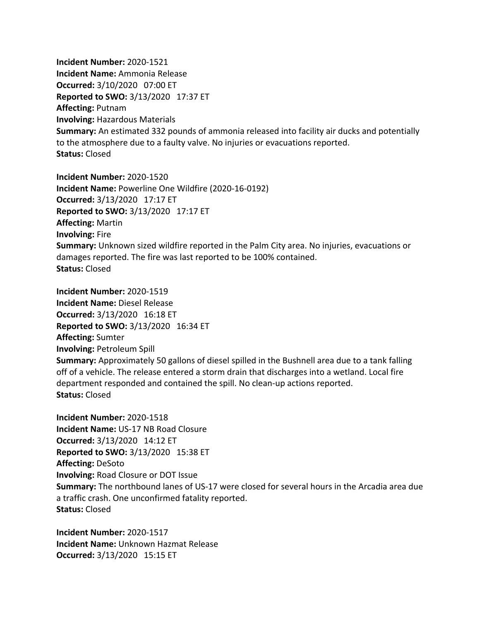**Incident Number:** 2020-1521 **Incident Name:** Ammonia Release **Occurred:** 3/10/2020 07:00 ET **Reported to SWO:** 3/13/2020 17:37 ET **Affecting:** Putnam **Involving:** Hazardous Materials **Summary:** An estimated 332 pounds of ammonia released into facility air ducks and potentially to the atmosphere due to a faulty valve. No injuries or evacuations reported. **Status:** Closed

**Incident Number:** 2020-1520 **Incident Name:** Powerline One Wildfire (2020-16-0192) **Occurred:** 3/13/2020 17:17 ET **Reported to SWO:** 3/13/2020 17:17 ET **Affecting:** Martin **Involving:** Fire **Summary:** Unknown sized wildfire reported in the Palm City area. No injuries, evacuations or damages reported. The fire was last reported to be 100% contained. **Status:** Closed

**Incident Number:** 2020-1519 **Incident Name:** Diesel Release **Occurred:** 3/13/2020 16:18 ET **Reported to SWO:** 3/13/2020 16:34 ET **Affecting:** Sumter **Involving:** Petroleum Spill **Summary:** Approximately 50 gallons of diesel spilled in the Bushnell area due to a tank falling off of a vehicle. The release entered a storm drain that discharges into a wetland. Local fire department responded and contained the spill. No clean-up actions reported. **Status:** Closed

**Incident Number:** 2020-1518 **Incident Name:** US-17 NB Road Closure **Occurred:** 3/13/2020 14:12 ET **Reported to SWO:** 3/13/2020 15:38 ET **Affecting:** DeSoto **Involving:** Road Closure or DOT Issue **Summary:** The northbound lanes of US-17 were closed for several hours in the Arcadia area due a traffic crash. One unconfirmed fatality reported. **Status:** Closed

**Incident Number:** 2020-1517 **Incident Name:** Unknown Hazmat Release **Occurred:** 3/13/2020 15:15 ET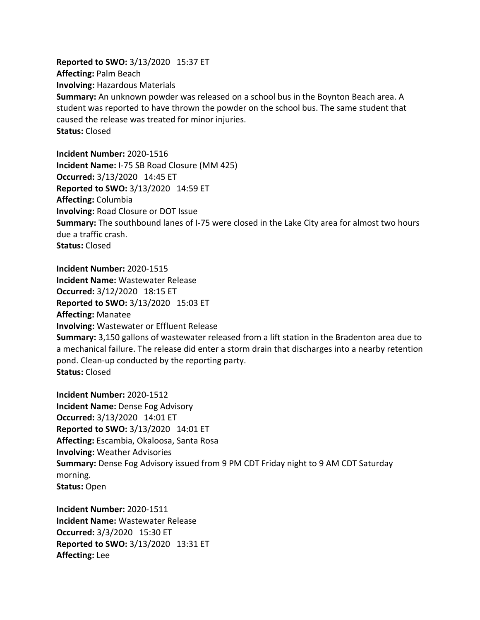**Reported to SWO:** 3/13/2020 15:37 ET **Affecting:** Palm Beach **Involving:** Hazardous Materials **Summary:** An unknown powder was released on a school bus in the Boynton Beach area. A student was reported to have thrown the powder on the school bus. The same student that caused the release was treated for minor injuries. **Status:** Closed

**Incident Number:** 2020-1516 **Incident Name:** I-75 SB Road Closure (MM 425) **Occurred:** 3/13/2020 14:45 ET **Reported to SWO:** 3/13/2020 14:59 ET **Affecting:** Columbia **Involving:** Road Closure or DOT Issue **Summary:** The southbound lanes of I-75 were closed in the Lake City area for almost two hours due a traffic crash. **Status:** Closed

**Incident Number:** 2020-1515 **Incident Name:** Wastewater Release **Occurred:** 3/12/2020 18:15 ET **Reported to SWO:** 3/13/2020 15:03 ET **Affecting:** Manatee **Involving:** Wastewater or Effluent Release **Summary:** 3,150 gallons of wastewater released from a lift station in the Bradenton area due to a mechanical failure. The release did enter a storm drain that discharges into a nearby retention pond. Clean-up conducted by the reporting party. **Status:** Closed

**Incident Number:** 2020-1512 **Incident Name:** Dense Fog Advisory **Occurred:** 3/13/2020 14:01 ET **Reported to SWO:** 3/13/2020 14:01 ET **Affecting:** Escambia, Okaloosa, Santa Rosa **Involving:** Weather Advisories **Summary:** Dense Fog Advisory issued from 9 PM CDT Friday night to 9 AM CDT Saturday morning. **Status:** Open

**Incident Number:** 2020-1511 **Incident Name:** Wastewater Release **Occurred:** 3/3/2020 15:30 ET **Reported to SWO:** 3/13/2020 13:31 ET **Affecting:** Lee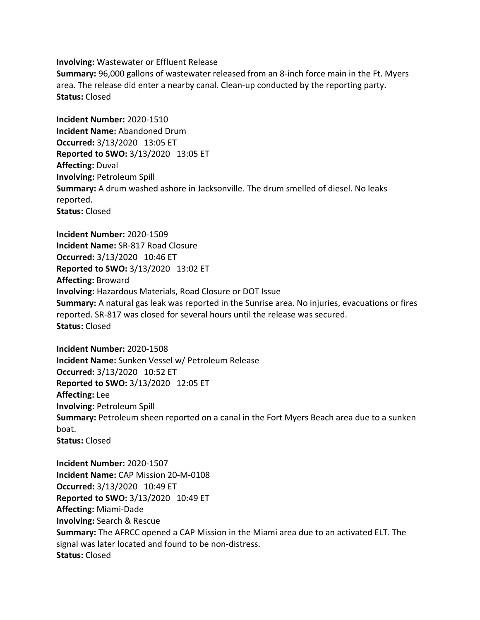**Involving:** Wastewater or Effluent Release

**Summary:** 96,000 gallons of wastewater released from an 8-inch force main in the Ft. Myers area. The release did enter a nearby canal. Clean-up conducted by the reporting party. **Status:** Closed

**Incident Number:** 2020-1510 **Incident Name:** Abandoned Drum **Occurred:** 3/13/2020 13:05 ET **Reported to SWO:** 3/13/2020 13:05 ET **Affecting:** Duval **Involving:** Petroleum Spill **Summary:** A drum washed ashore in Jacksonville. The drum smelled of diesel. No leaks reported. **Status:** Closed

**Incident Number:** 2020-1509 **Incident Name:** SR-817 Road Closure **Occurred:** 3/13/2020 10:46 ET **Reported to SWO:** 3/13/2020 13:02 ET **Affecting:** Broward **Involving:** Hazardous Materials, Road Closure or DOT Issue **Summary:** A natural gas leak was reported in the Sunrise area. No injuries, evacuations or fires reported. SR-817 was closed for several hours until the release was secured. **Status:** Closed

**Incident Number:** 2020-1508 **Incident Name:** Sunken Vessel w/ Petroleum Release **Occurred:** 3/13/2020 10:52 ET **Reported to SWO:** 3/13/2020 12:05 ET **Affecting:** Lee **Involving:** Petroleum Spill **Summary:** Petroleum sheen reported on a canal in the Fort Myers Beach area due to a sunken boat. **Status:** Closed

**Incident Number:** 2020-1507 **Incident Name:** CAP Mission 20-M-0108 **Occurred:** 3/13/2020 10:49 ET **Reported to SWO:** 3/13/2020 10:49 ET **Affecting:** Miami-Dade **Involving:** Search & Rescue **Summary:** The AFRCC opened a CAP Mission in the Miami area due to an activated ELT. The signal was later located and found to be non-distress. **Status:** Closed